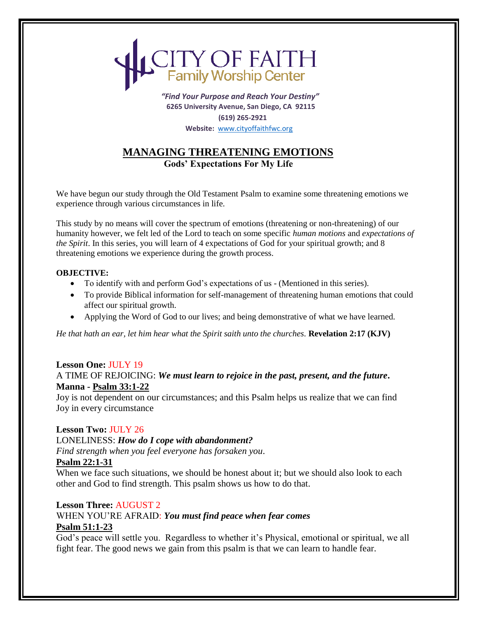# **ITY OF FAITH**<br>Family Worship Center

 *"Find Your Purpose and Reach Your Destiny"*  **6265 University Avenue, San Diego, CA 92115 (619) 265-2921 Website:** [www.cityoffaithfwc.org](http://www.cityoffaithfwc.org/)

## **MANAGING THREATENING EMOTIONS Gods' Expectations For My Life**

We have begun our study through the Old Testament Psalm to examine some threatening emotions we experience through various circumstances in life.

This study by no means will cover the spectrum of emotions (threatening or non-threatening) of our humanity however, we felt led of the Lord to teach on some specific *human motions* and *expectations of the Spirit*. In this series, you will learn of 4 expectations of God for your spiritual growth; and 8 threatening emotions we experience during the growth process.

#### **OBJECTIVE:**

- To identify with and perform God's expectations of us (Mentioned in this series).
- To provide Biblical information for self-management of threatening human emotions that could affect our spiritual growth.
- Applying the Word of God to our lives; and being demonstrative of what we have learned.

*He that hath an ear, let him hear what the Spirit saith unto the churches.* **Revelation 2:17 (KJV)** 

#### **Lesson One:** JULY 19 A TIME OF REJOICING: *We must learn to rejoice in the past, present, and the future***. Manna - Psalm 33:1-22**

Joy is not dependent on our circumstances; and this Psalm helps us realize that we can find Joy in every circumstance

#### **Lesson Two:** JULY 26

LONELINESS: *How do I cope with abandonment?*

*Find strength when you feel everyone has forsaken you*.

#### **Psalm 22:1-31**

When we face such situations, we should be honest about it; but we should also look to each other and God to find strength. This psalm shows us how to do that.

## **Lesson Three:** AUGUST 2

#### WHEN YOU'RE AFRAID: *You must find peace when fear comes*  **Psalm 51:1-23**

God's peace will settle you. Regardless to whether it's Physical, emotional or spiritual, we all fight fear. The good news we gain from this psalm is that we can learn to handle fear.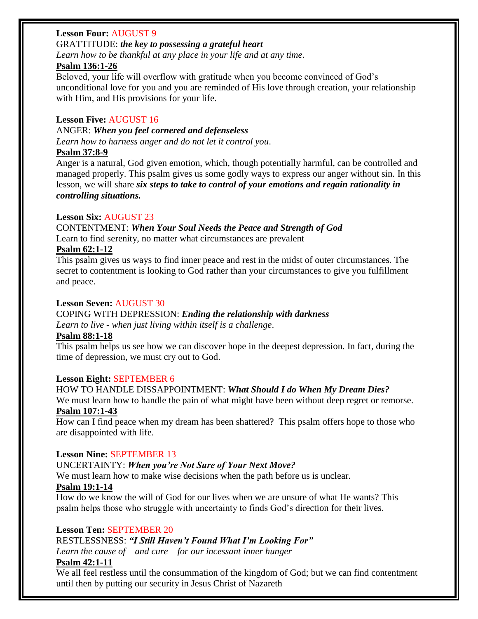## **Lesson Four:** AUGUST 9

#### GRATTITUDE: *the key to possessing a grateful heart*

*Learn how to be thankful at any place in your life and at any time*.

## **Psalm 136:1-26**

Beloved, your life will overflow with gratitude when you become convinced of God's unconditional love for you and you are reminded of His love through creation, your relationship with Him, and His provisions for your life.

## **Lesson Five:** AUGUST 16

ANGER: *When you feel cornered and defenseless Learn how to harness anger and do not let it control you*.

## **Psalm 37:8-9**

Anger is a natural, God given emotion, which, though potentially harmful, can be controlled and managed properly. This psalm gives us some godly ways to express our anger without sin. In this lesson, we will share *six steps to take to control of your emotions and regain rationality in controlling situations.*

## **Lesson Six:** AUGUST 23

#### CONTENTMENT: *When Your Soul Needs the Peace and Strength of God* Learn to find serenity, no matter what circumstances are prevalent

## **Psalm 62:1-12**

This psalm gives us ways to find inner peace and rest in the midst of outer circumstances. The secret to contentment is looking to God rather than your circumstances to give you fulfillment and peace.

## **Lesson Seven:** AUGUST 30

#### COPING WITH DEPRESSION: *Ending the relationship with darkness Learn to live - when just living within itself is a challenge*.

## **Psalm 88:1-18**

This psalm helps us see how we can discover hope in the deepest depression. In fact, during the time of depression, we must cry out to God.

## **Lesson Eight:** SEPTEMBER 6

## HOW TO HANDLE DISSAPPOINTMENT: *What Should I do When My Dream Dies?*

We must learn how to handle the pain of what might have been without deep regret or remorse. **Psalm 107:1-43**

How can I find peace when my dream has been shattered? This psalm offers hope to those who are disappointed with life.

## **Lesson Nine:** SEPTEMBER 13

## UNCERTAINTY: *When you're Not Sure of Your Next Move?*

We must learn how to make wise decisions when the path before us is unclear.

## **Psalm 19:1-14**

How do we know the will of God for our lives when we are unsure of what He wants? This psalm helps those who struggle with uncertainty to finds God's direction for their lives.

## **Lesson Ten:** SEPTEMBER 20

## RESTLESSNESS: *"I Still Haven't Found What I'm Looking For"*

*Learn the cause of – and cure – for our incessant inner hunger*

## **Psalm 42:1-11**

We all feel restless until the consummation of the kingdom of God; but we can find contentment until then by putting our security in Jesus Christ of Nazareth